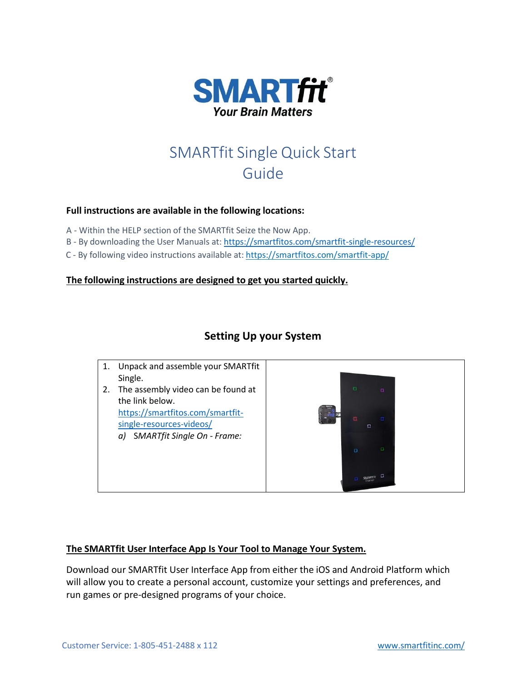

# SMARTfit Single Quick Start Guide

## **Full instructions are available in the following locations:**

A - Within the HELP section of the SMARTfit Seize the Now App.

- B By downloading the User Manuals at: <https://smartfitos.com/smartfit-single-resources/>
- C By following video instructions available at: <https://smartfitos.com/smartfit-app/>

#### **The following instructions are designed to get you started quickly.**

# **Setting Up your System**



## **The SMARTfit User Interface App Is Your Tool to Manage Your System.**

Download our SMARTfit User Interface App from either the iOS and Android Platform which will allow you to create a personal account, customize your settings and preferences, and run games or pre-designed programs of your choice.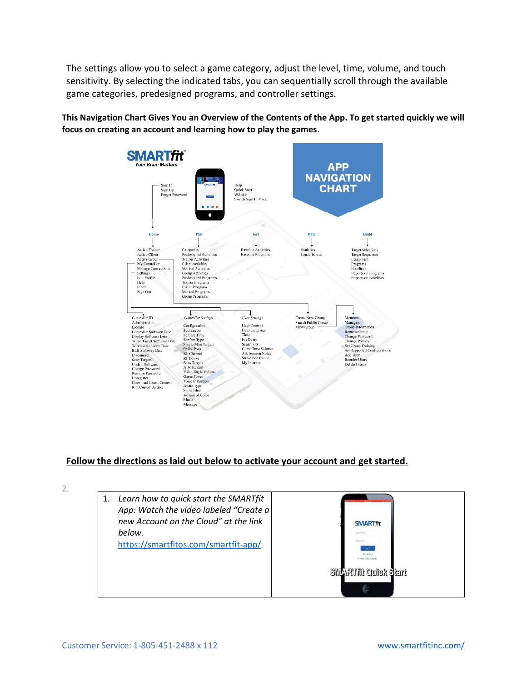The settings allow you to select a game category, adjust the level, time, volume, and touch sensitivity. By selecting the indicated tabs, you can sequentially scroll through the available game categories, predesigned programs, and controller settings.

**This Navigation Chart Gives You an Overview of the Contents of the App. To get started quickly we will focus on creating an account and learning how to play the games**.



## **Follow the directions as laid out below to activate your account and get started.**

 $2.$ 

| 1. Learn how to quick start the SMARTfit<br>App: Watch the video labeled "Create a<br>new Account on the Cloud" at the link | <b>SMARTfit</b>                                         |
|-----------------------------------------------------------------------------------------------------------------------------|---------------------------------------------------------|
| below.                                                                                                                      |                                                         |
| https://smartfitos.com/smartfit-app/                                                                                        | Créek Road                                              |
|                                                                                                                             | <b>Create New Account</b><br><b>SMARTHE Quick Siart</b> |
|                                                                                                                             | $\Box$                                                  |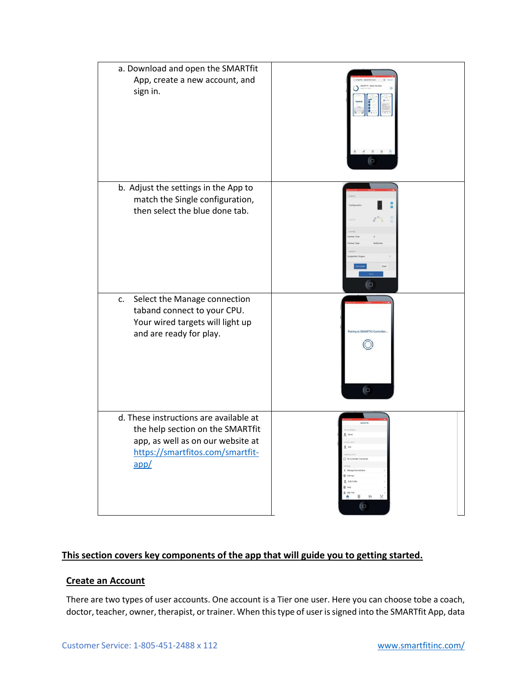| a. Download and open the SMARTfit<br>App, create a new account, and<br>sign in.                                                                             | ľΟ              |
|-------------------------------------------------------------------------------------------------------------------------------------------------------------|-----------------|
| b. Adjust the settings in the App to<br>match the Single configuration,<br>then select the blue done tab.                                                   | $\circ$         |
| Select the Manage connection<br>c.<br>taband connect to your CPU.<br>Your wired targets will light up<br>and are ready for play.                            | SMARTEL C<br>60 |
| d. These instructions are available at<br>the help section on the SMARTfit<br>app, as well as on our website at<br>https://smartfitos.com/smartfit-<br>app/ | <b>is</b><br>0  |

# **This section covers key components of the app that will guide you to getting started.**

#### **Create an Account**

There are two types of user accounts. One account is a Tier one user. Here you can choose tobe a coach, doctor, teacher, owner, therapist, or trainer. When this type of user is signed into the SMARTfit App, data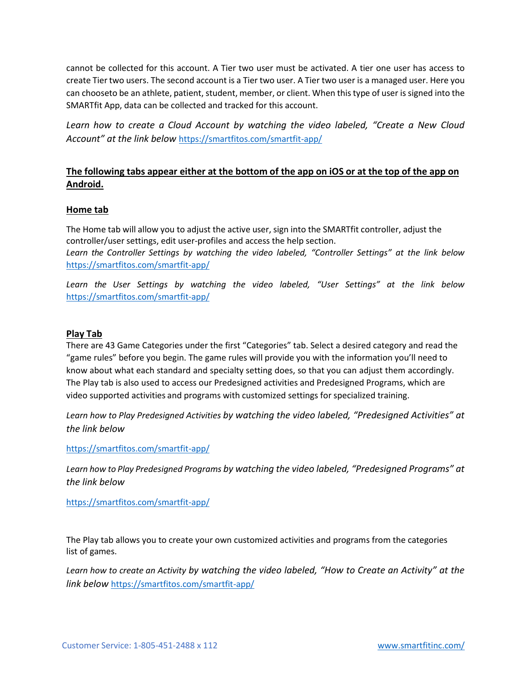cannot be collected for this account. A Tier two user must be activated. A tier one user has access to create Tier two users. The second account is a Tier two user. A Tier two user is a managed user. Here you can chooseto be an athlete, patient, student, member, or client. When this type of user is signed into the SMARTfit App, data can be collected and tracked for this account.

*Learn how to create a Cloud Account by watching the video labeled, "Create a New Cloud Account" at the link below* <https://smartfitos.com/smartfit-app/>

# **The following tabs appear either at the bottom of the app on iOS or at the top of the app on Android.**

#### **Home tab**

The Home tab will allow you to adjust the active user, sign into the SMARTfit controller, adjust the controller/user settings, edit user-profiles and access the help section. *Learn the Controller Settings by watching the video labeled, "Controller Settings" at the link below* <https://smartfitos.com/smartfit-app/>

*Learn the User Settings by watching the video labeled, "User Settings" at the link below* <https://smartfitos.com/smartfit-app/>

#### **Play Tab**

There are 43 Game Categories under the first "Categories" tab. Select a desired category and read the "game rules" before you begin. The game rules will provide you with the information you'll need to know about what each standard and specialty setting does, so that you can adjust them accordingly. The Play tab is also used to access our Predesigned activities and Predesigned Programs, which are video supported activities and programs with customized settings for specialized training.

*Learn how to Play Predesigned Activities by watching the video labeled, "Predesigned Activities" at the link below*

<https://smartfitos.com/smartfit-app/>

*Learn how to Play Predesigned Programs by watching the video labeled, "Predesigned Programs" at the link below*

<https://smartfitos.com/smartfit-app/>

The Play tab allows you to create your own customized activities and programs from the categories list of games.

*Learn how to create an Activity by watching the video labeled, "How to Create an Activity" at the link below* <https://smartfitos.com/smartfit-app/>